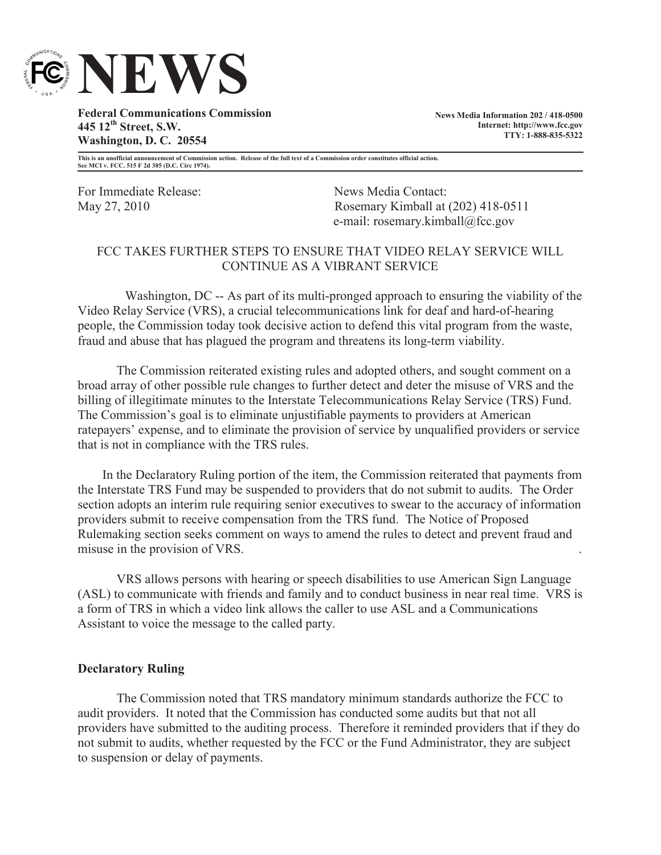

**Federal Communications Commission 445 12th Street, S.W. Washington, D. C. 20554**

**News Media Information 202 / 418-0500 Internet: http://www.fcc.gov TTY: 1-888-835-5322**

**This is an unofficial announcement of Commission action. Release of the full text of a Commission order constitutes official action. See MCI v. FCC. 515 F 2d 385 (D.C. Circ 1974).**

For Immediate Release: News Media Contact:

May 27, 2010 Rosemary Kimball at (202) 418-0511 e-mail: rosemary.kimball@fcc.gov

## FCC TAKES FURTHER STEPS TO ENSURE THAT VIDEO RELAY SERVICE WILL CONTINUE AS A VIBRANT SERVICE

Washington, DC -- As part of its multi-pronged approach to ensuring the viability of the Video Relay Service (VRS), a crucial telecommunications link for deaf and hard-of-hearing people, the Commission today took decisive action to defend this vital program from the waste, fraud and abuse that has plagued the program and threatens its long-term viability.

The Commission reiterated existing rules and adopted others, and sought comment on a broad array of other possible rule changes to further detect and deter the misuse of VRS and the billing of illegitimate minutes to the Interstate Telecommunications Relay Service (TRS) Fund. The Commission's goal is to eliminate unjustifiable payments to providers at American ratepayers' expense, and to eliminate the provision of service by unqualified providers or service that is not in compliance with the TRS rules.

In the Declaratory Ruling portion of the item, the Commission reiterated that payments from the Interstate TRS Fund may be suspended to providers that do not submit to audits. The Order section adopts an interim rule requiring senior executives to swear to the accuracy of information providers submit to receive compensation from the TRS fund. The Notice of Proposed Rulemaking section seeks comment on ways to amend the rules to detect and prevent fraud and misuse in the provision of VRS. .

VRS allows persons with hearing or speech disabilities to use American Sign Language (ASL) to communicate with friends and family and to conduct business in near real time. VRS is a form of TRS in which a video link allows the caller to use ASL and a Communications Assistant to voice the message to the called party.

## **Declaratory Ruling**

The Commission noted that TRS mandatory minimum standards authorize the FCC to audit providers. It noted that the Commission has conducted some audits but that not all providers have submitted to the auditing process. Therefore it reminded providers that if they do not submit to audits, whether requested by the FCC or the Fund Administrator, they are subject to suspension or delay of payments.